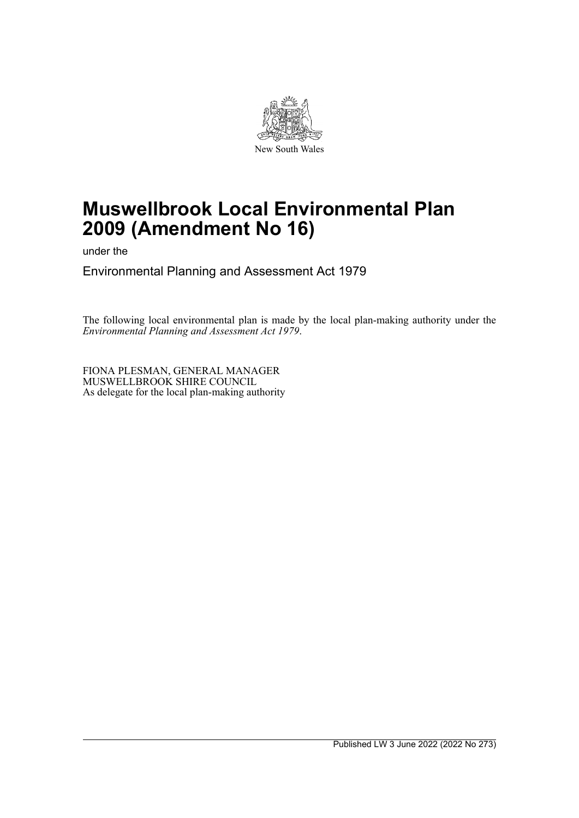

# **Muswellbrook Local Environmental Plan 2009 (Amendment No 16)**

under the

Environmental Planning and Assessment Act 1979

The following local environmental plan is made by the local plan-making authority under the *Environmental Planning and Assessment Act 1979*.

FIONA PLESMAN, GENERAL MANAGER MUSWELLBROOK SHIRE COUNCIL As delegate for the local plan-making authority